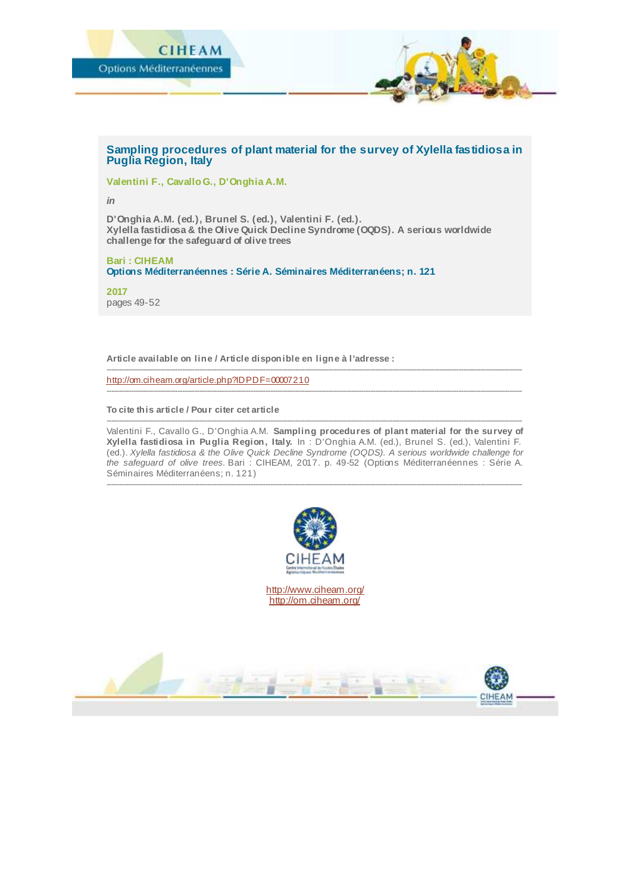

## **Sampling procedures of plant material for the survey of Xylella fastidiosa in Puglia Region, Italy**

**Valentini F., Cavallo G., D'Onghia A.M.**

*in*

**D'Onghia A.M. (ed.), Brunel S. (ed.), Valentini F. (ed.). Xylella fastidiosa & the Olive Quick Decline Syndrome (OQDS). A serious worldwide challenge for the safeguard of olive trees**

**Bari : CIHEAM Options Méditerranéennes : Série A. Séminaires Méditerranéens; n. 121**

**2017** pages 49-52

**Article available on line / Article disponible en ligne à l'adresse :**

<http://om.ciheam.org/article.php?IDPDF=00007210>

**To cite this article / Pour citer cet article**

-------------------------------------------------------------------------------------------------------------------------------------------------------------------------- Valentini F., Cavallo G., D'Onghia A.M. **Sampling procedures of plant material for the survey of Xylella fastidiosa in Puglia Region, Italy.** In : D'Onghia A.M. (ed.), Brunel S. (ed.), Valentini F. (ed.). *Xylella fastidiosa & the Olive Quick Decline Syndrome (OQDS). A serious worldwide challenge for the safeguard of olive trees.* Bari : CIHEAM, 2017. p. 49-52 (Options Méditerranéennes : Série A. Séminaires Méditerranéens; n. 121)

--------------------------------------------------------------------------------------------------------------------------------------------------------------------------

--------------------------------------------------------------------------------------------------------------------------------------------------------------------------

--------------------------------------------------------------------------------------------------------------------------------------------------------------------------



<http://www.ciheam.org/> <http://om.ciheam.org/>

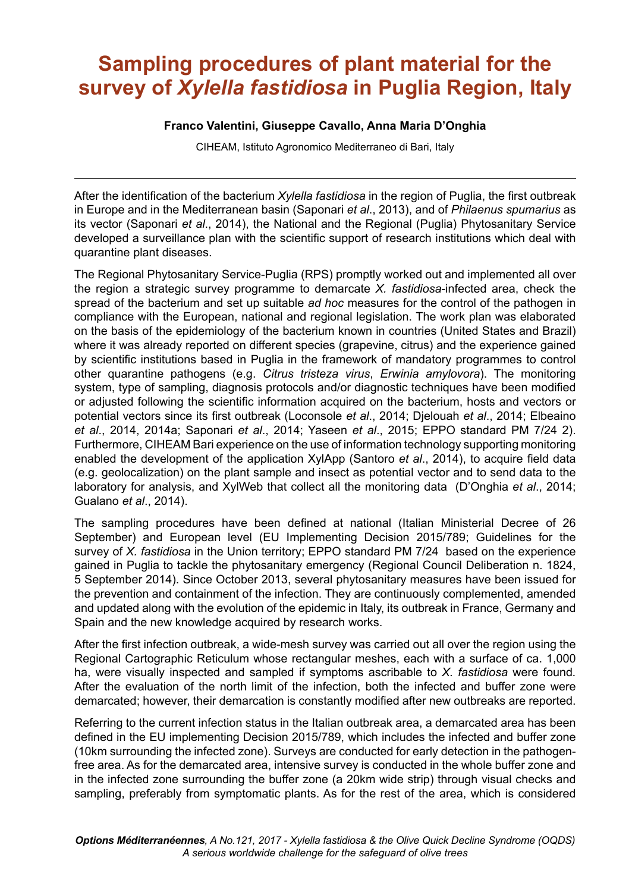## **Sampling procedures of plant material for the survey of** *Xylella fastidiosa* **in Puglia Region, Italy**

## **Franco Valentini, Giuseppe Cavallo, Anna Maria DíOnghia**

CIHEAM, Istituto Agronomico Mediterraneo di Bari, Italy

After the identification of the bacterium *Xylella fastidiosa* in the region of Puglia, the first outbreak in Europe and in the Mediterranean basin (Saponari *et al*., 2013), and of *Philaenus spumarius* as its vector (Saponari *et al*., 2014), the National and the Regional (Puglia) Phytosanitary Service developed a surveillance plan with the scientiic support of research institutions which deal with quarantine plant diseases.

The Regional Phytosanitary Service-Puglia (RPS) promptly worked out and implemented all over the region a strategic survey programme to demarcate *X. fastidiosa*-infected area, check the spread of the bacterium and set up suitable *ad hoc* measures for the control of the pathogen in compliance with the European, national and regional legislation. The work plan was elaborated on the basis of the epidemiology of the bacterium known in countries (United States and Brazil) where it was already reported on different species (grapevine, citrus) and the experience gained by scientiic institutions based in Puglia in the framework of mandatory programmes to control other quarantine pathogens (e.g. *Citrus tristeza virus*, *Erwinia amylovora*). The monitoring system, type of sampling, diagnosis protocols and/or diagnostic techniques have been modified or adjusted following the scientiic information acquired on the bacterium, hosts and vectors or potential vectors since its irst outbreak (Loconsole *et al*., 2014; Djelouah *et al*., 2014; Elbeaino *et al*., 2014, 2014a; Saponari *et al*., 2014; Yaseen *et al*., 2015; EPPO standard PM 7/24 2). Furthermore, CIHEAM Bari experience on the use of information technology supporting monitoring enabled the development of the application XylApp (Santoro *et al*., 2014), to acquire ield data (e.g. geolocalization) on the plant sample and insect as potential vector and to send data to the laboratory for analysis, and XylWeb that collect all the monitoring data (DíOnghia *et al*., 2014; Gualano *et al*., 2014).

The sampling procedures have been deined at national (Italian Ministerial Decree of 26 September) and European level (EU Implementing Decision 2015/789; Guidelines for the survey of *X. fastidiosa* in the Union territory; EPPO standard PM 7/24 based on the experience gained in Puglia to tackle the phytosanitary emergency (Regional Council Deliberation n. 1824, 5 September 2014). Since October 2013, several phytosanitary measures have been issued for the prevention and containment of the infection. They are continuously complemented, amended and updated along with the evolution of the epidemic in Italy, its outbreak in France, Germany and Spain and the new knowledge acquired by research works.

After the first infection outbreak, a wide-mesh survey was carried out all over the region using the Regional Cartographic Reticulum whose rectangular meshes, each with a surface of ca. 1,000 ha, were visually inspected and sampled if symptoms ascribable to *X. fastidiosa* were found*.*  After the evaluation of the north limit of the infection, both the infected and buffer zone were demarcated; however, their demarcation is constantly modiied after new outbreaks are reported.

Referring to the current infection status in the Italian outbreak area, a demarcated area has been defined in the EU implementing Decision 2015/789, which includes the infected and buffer zone (10km surrounding the infected zone). Surveys are conducted for early detection in the pathogenfree area. As for the demarcated area, intensive survey is conducted in the whole buffer zone and in the infected zone surrounding the buffer zone (a 20km wide strip) through visual checks and sampling, preferably from symptomatic plants. As for the rest of the area, which is considered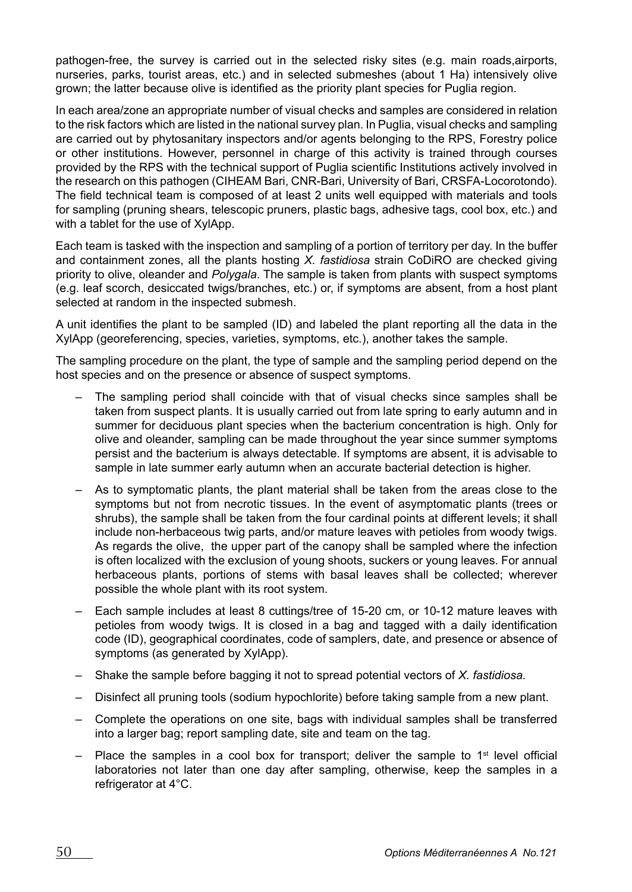pathogen-free, the survey is carried out in the selected risky sites (e.g. main roads,airports, nurseries, parks, tourist areas, etc.) and in selected submeshes (about 1 Ha) intensively olive grown; the latter because olive is identified as the priority plant species for Puglia region.

In each area/zone an appropriate number of visual checks and samples are considered in relation to the risk factors which are listed in the national survey plan. In Puglia, visual checks and sampling are carried out by phytosanitary inspectors and/or agents belonging to the RPS, Forestry police or other institutions. However, personnel in charge of this activity is trained through courses provided by the RPS with the technical support of Puglia scientiic Institutions actively involved in the research on this pathogen (CIHEAM Bari, CNR-Bari, University of Bari, CRSFA-Locorotondo). The ield technical team is composed of at least 2 units well equipped with materials and tools for sampling (pruning shears, telescopic pruners, plastic bags, adhesive tags, cool box, etc.) and with a tablet for the use of XylApp.

Each team is tasked with the inspection and sampling of a portion of territory per day. In the buffer and containment zones, all the plants hosting *X. fastidiosa* strain CoDiRO are checked giving priority to olive, oleander and *Polygala*. The sample is taken from plants with suspect symptoms (e.g. leaf scorch, desiccated twigs/branches, etc.) or, if symptoms are absent, from a host plant selected at random in the inspected submesh.

A unit identiies the plant to be sampled (ID) and labeled the plant reporting all the data in the XylApp (georeferencing, species, varieties, symptoms, etc.), another takes the sample.

The sampling procedure on the plant, the type of sample and the sampling period depend on the host species and on the presence or absence of suspect symptoms.

- $-$  The sampling period shall coincide with that of visual checks since samples shall be taken from suspect plants. It is usually carried out from late spring to early autumn and in summer for deciduous plant species when the bacterium concentration is high. Only for olive and oleander, sampling can be made throughout the year since summer symptoms persist and the bacterium is always detectable. If symptoms are absent, it is advisable to sample in late summer early autumn when an accurate bacterial detection is higher.
- $\overline{a}$  As to symptomatic plants, the plant material shall be taken from the areas close to the symptoms but not from necrotic tissues. In the event of asymptomatic plants (trees or shrubs), the sample shall be taken from the four cardinal points at different levels; it shall include non-herbaceous twig parts, and/or mature leaves with petioles from woody twigs. As regards the olive, the upper part of the canopy shall be sampled where the infection is often localized with the exclusion of young shoots, suckers or young leaves. For annual herbaceous plants, portions of stems with basal leaves shall be collected; wherever possible the whole plant with its root system.
- Each sample includes at least 8 cuttings/tree of 15-20 cm, or 10-12 mature leaves with petioles from woody twigs. It is closed in a bag and tagged with a daily identification code (ID), geographical coordinates, code of samplers, date, and presence or absence of symptoms (as generated by XylApp).
- $-$  Shake the sample before bagging it not to spread potential vectors of *X. fastidiosa.*
- Disinfect all pruning tools (sodium hypochlorite) before taking sample from a new plant.
- Complete the operations on one site, bags with individual samples shall be transferred into a larger bag; report sampling date, site and team on the tag.
- $\overline{a}$  Place the samples in a cool box for transport; deliver the sample to 1<sup>st</sup> level official laboratories not later than one day after sampling, otherwise, keep the samples in a refrigerator at 4°C.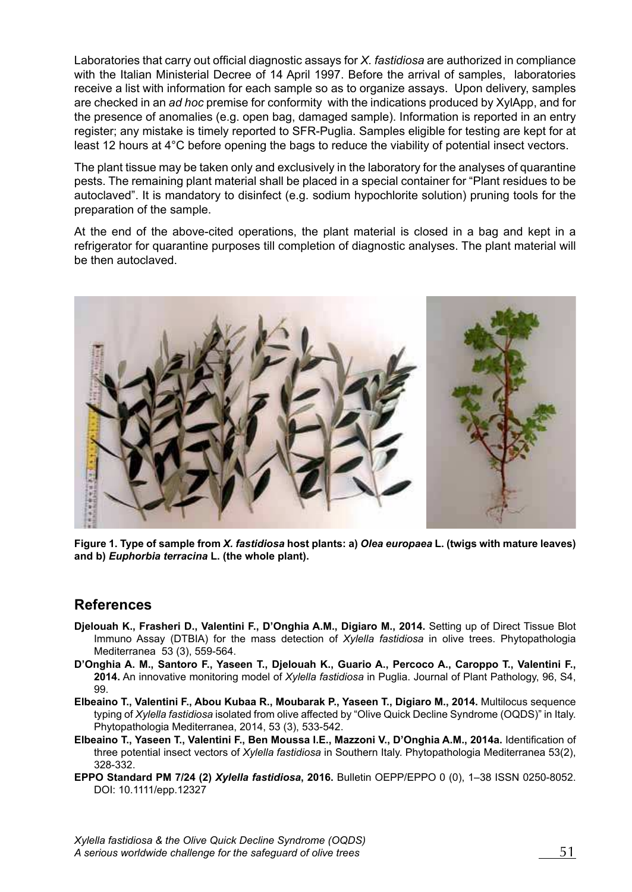Laboratories that carry out oficial diagnostic assays for *X. fastidiosa* are authorized in compliance with the Italian Ministerial Decree of 14 April 1997. Before the arrival of samples, laboratories receive a list with information for each sample so as to organize assays. Upon delivery, samples are checked in an *ad hoc* premise for conformity with the indications produced by XylApp, and for the presence of anomalies (e.g. open bag, damaged sample). Information is reported in an entry register; any mistake is timely reported to SFR-Puglia. Samples eligible for testing are kept for at least 12 hours at 4°C before opening the bags to reduce the viability of potential insect vectors.

The plant tissue may be taken only and exclusively in the laboratory for the analyses of quarantine pests. The remaining plant material shall be placed in a special container for "Plant residues to be autoclavedî. It is mandatory to disinfect (e.g. sodium hypochlorite solution) pruning tools for the preparation of the sample.

At the end of the above-cited operations, the plant material is closed in a bag and kept in a refrigerator for quarantine purposes till completion of diagnostic analyses. The plant material will be then autoclaved.



**Figure 1. Type of sample from** *X. fastidiosa* **host plants: a)** *Olea europaea* **L. (twigs with mature leaves) and b)** *Euphorbia terracina* **L. (the whole plant).**

## **References**

- **Djelouah K., Frasheri D., Valentini F., DíOnghia A.M., Digiaro M., 2014.** Setting up of Direct Tissue Blot Immuno Assay (DTBIA) for the mass detection of *Xylella fastidiosa* in olive trees. Phytopathologia Mediterranea 53 (3), 559-564.
- **DíOnghia A. M., Santoro F., Yaseen T., Djelouah K., Guario A., Percoco A., Caroppo T., Valentini F., 2014.** An innovative monitoring model of *Xylella fastidiosa* in Puglia. Journal of Plant Pathology, 96, S4, 99.
- **Elbeaino T., Valentini F., Abou Kubaa R., Moubarak P., Yaseen T., Digiaro M., 2014.** Multilocus sequence typing of *Xylella fastidiosa* isolated from olive affected by "Olive Quick Decline Syndrome (OQDS)" in Italy. Phytopathologia Mediterranea, 2014, 53 (3), 533-542.
- **Elbeaino T., Yaseen T., Valentini F., Ben Moussa I.E., Mazzoni V., DíOnghia A.M., 2014a.** Identiication of three potential insect vectors of *Xylella fastidiosa* in Southern Italy. Phytopathologia Mediterranea 53(2), 328-332.
- **EPPO Standard PM 7/24 (2)** *Xylella fastidiosa*, 2016. Bulletin OEPP/EPPO 0 (0), 1-38 ISSN 0250-8052. DOI: 10.1111/epp.12327